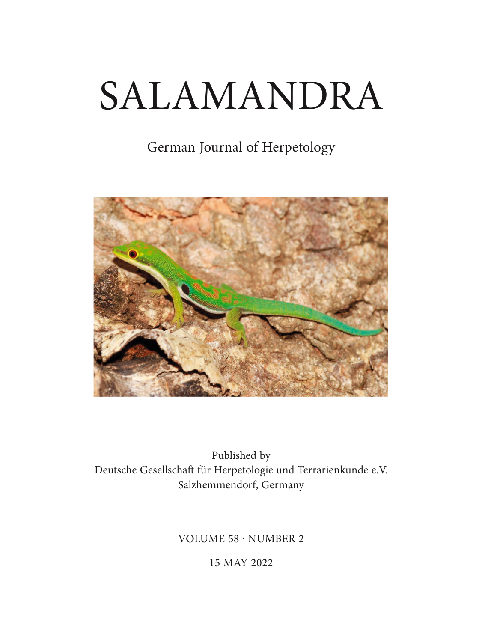# SALAMANDRA

# German Journal of Herpetology



Published by Deutsche Gesellschaft für Herpetologie und Terrarienkunde e.V. Salzhemmendorf, Germany

VOLUME 58 · NUMBER 2

15 MAY 2022